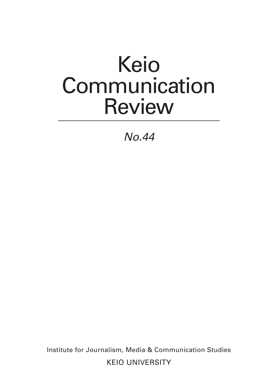## Keio **Communication** Review

*No.44*

Institute for Journalism, Media & Communication Studies KEIO UNIVERSITY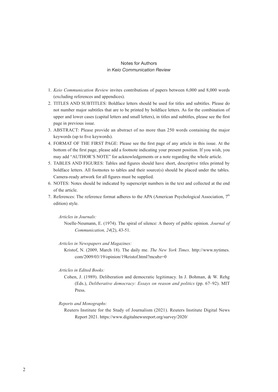## Notes for Authors in *Keio Communication Review*

- 1. *Keio Communication Review* invites contributions of papers between 6,000 and 8,000 words (excluding references and appendices).
- 2. TITLES AND SUBTITLES: Boldface letters should be used for titles and subtitles. Please do not number major subtitles that are to be printed by boldface letters. As for the combination of upper and lower cases (capital letters and small letters), in titles and subtitles, please see the first page in previous issue.
- 3. ABSTRACT: Please provide an abstract of no more than 250 words containing the major keywords (up to five keywords).
- 4. FORMAT OF THE FIRST PAGE: Please see the first page of any article in this issue. At the bottom of the first page, please add a footnote indicating your present position. If you wish, you may add "AUTHOR'S NOTE" for acknowledgements or a note regarding the whole article.
- 5. TABLES AND FIGURES: Tables and figures should have short, descriptive titles printed by boldface letters. All footnotes to tables and their source(s) should be placed under the tables. Camera-ready artwork for all figures must be supplied.
- 6. NOTES: Notes should be indicated by superscript numbers in the text and collected at the end of the article.
- 7. References: The reference format adheres to the APA (American Psychological Association,  $7<sup>th</sup>$ edition) style.

*Articles in Journals:*

Noelle-Neumann, E. (1974). The spiral of silence: A theory of public opinion. *Journal of Communication, 24*(2), 43-51.

*Articles in Newspapers and Magazines:*

Kristof, N. (2009, March 18). The daily me. *The New York Times*. http://www.nytimes. com/2009/03/19/opinion/19kristof.html?mcubz=0

*Articles in Edited Books:*

Cohen, J. (1989). Deliberation and democratic legitimacy. In J. Bohman, & W. Rehg (Eds.), *Deliberative democracy: Essays on reason and politics* (pp. 67–92). MIT Press.

## *Reports and Monographs:*

Reuters Institute for the Study of Journalism (2021). Reuters Institute Digital News Report 2021. https://www.digitalnewsreport.org/survey/2020/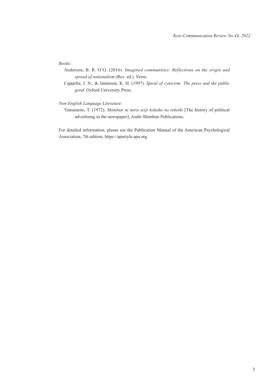*Books:*

Anderson, B. R. O'G. (2016). *Imagined communities: Reflections on the origin and spread of nationalism* (Rev. ed.). Verso.

Cappella, J. N., & Jamieson, K. H. (1997). *Spiral of cynicism: The press and the public good*. Oxford University Press.

*Non-English Language Literature:*

Yamamoto, T. (1972). *Shimbun ni miru seiji kokoku no rekishi* [The history of political advertising in the newspaper]. Asahi Shimbun Publications.

For detailed information, please see the Publication Manual of the American Psychological Association, 7th edition, https://apastyle.apa.org.